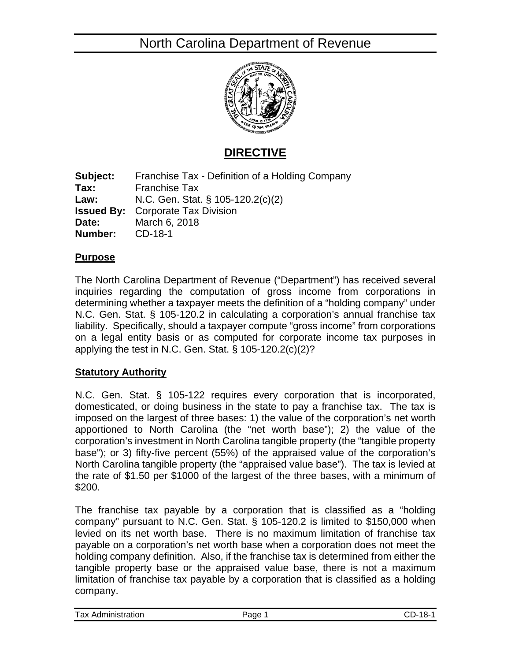# North Carolina Department of Revenue



### **DIRECTIVE**

**Subject:** Franchise Tax - Definition of a Holding Company **Tax:** Franchise Tax **Law:** N.C. Gen. Stat. § 105-120.2(c)(2) **Issued By:** Corporate Tax Division **Date:** March 6, 2018 **Number:** CD-18-1

#### **Purpose**

The North Carolina Department of Revenue ("Department") has received several inquiries regarding the computation of gross income from corporations in determining whether a taxpayer meets the definition of a "holding company" under N.C. Gen. Stat. § 105-120.2 in calculating a corporation's annual franchise tax liability. Specifically, should a taxpayer compute "gross income" from corporations on a legal entity basis or as computed for corporate income tax purposes in applying the test in N.C. Gen. Stat.  $\S$  105-120.2(c)(2)?

#### **Statutory Authority**

N.C. Gen. Stat. § 105-122 requires every corporation that is incorporated, domesticated, or doing business in the state to pay a franchise tax. The tax is imposed on the largest of three bases: 1) the value of the corporation's net worth apportioned to North Carolina (the "net worth base"); 2) the value of the corporation's investment in North Carolina tangible property (the "tangible property base"); or 3) fifty-five percent (55%) of the appraised value of the corporation's North Carolina tangible property (the "appraised value base"). The tax is levied at the rate of \$1.50 per \$1000 of the largest of the three bases, with a minimum of \$200.

The franchise tax payable by a corporation that is classified as a "holding company" pursuant to N.C. Gen. Stat. § 105-120.2 is limited to \$150,000 when levied on its net worth base. There is no maximum limitation of franchise tax payable on a corporation's net worth base when a corporation does not meet the holding company definition. Also, if the franchise tax is determined from either the tangible property base or the appraised value base, there is not a maximum limitation of franchise tax payable by a corporation that is classified as a holding company.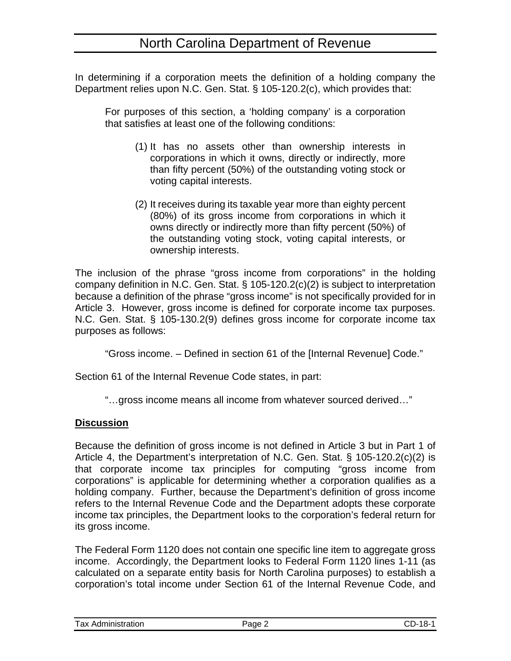In determining if a corporation meets the definition of a holding company the Department relies upon N.C. Gen. Stat. § 105-120.2(c), which provides that:

For purposes of this section, a 'holding company' is a corporation that satisfies at least one of the following conditions:

- (1) It has no assets other than ownership interests in corporations in which it owns, directly or indirectly, more than fifty percent (50%) of the outstanding voting stock or voting capital interests.
- (2) It receives during its taxable year more than eighty percent (80%) of its gross income from corporations in which it owns directly or indirectly more than fifty percent (50%) of the outstanding voting stock, voting capital interests, or ownership interests.

The inclusion of the phrase "gross income from corporations" in the holding company definition in N.C. Gen. Stat. § 105-120.2(c)(2) is subject to interpretation because a definition of the phrase "gross income" is not specifically provided for in Article 3. However, gross income is defined for corporate income tax purposes. N.C. Gen. Stat. § 105-130.2(9) defines gross income for corporate income tax purposes as follows:

"Gross income. – Defined in section 61 of the [Internal Revenue] Code."

Section 61 of the Internal Revenue Code states, in part:

"…gross income means all income from whatever sourced derived…"

#### **Discussion**

Because the definition of gross income is not defined in Article 3 but in Part 1 of Article 4, the Department's interpretation of N.C. Gen. Stat. § 105-120.2(c)(2) is that corporate income tax principles for computing "gross income from corporations" is applicable for determining whether a corporation qualifies as a holding company. Further, because the Department's definition of gross income refers to the Internal Revenue Code and the Department adopts these corporate income tax principles, the Department looks to the corporation's federal return for its gross income.

The Federal Form 1120 does not contain one specific line item to aggregate gross income. Accordingly, the Department looks to Federal Form 1120 lines 1-11 (as calculated on a separate entity basis for North Carolina purposes) to establish a corporation's total income under Section 61 of the Internal Revenue Code, and